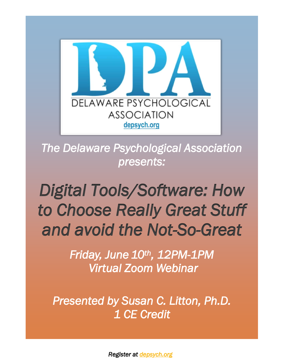

*The Delaware Psychological Association presents:* 

# *Digital Tools/Software: How [to Choose Really Great Stuff](https://www.depsych.org/event-4772130)  and avoid the Not-So-Great*

*Friday, June 10th , 12PM-1PM Virtual Zoom Webinar* 

*Presented by Susan C. Litton, Ph.D. 1 CE Credit*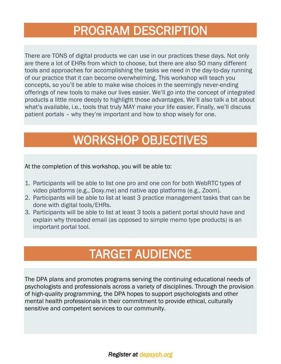## PROGRAM DESCRIPTION

There are TONS of digital products we can use in our practices these days. Not only are there a lot of EHRs from which to choose, but there are also SO many different tools and approaches for accomplishing the tasks we need in the day-to-day running of our practice that it can become overwhelming. This workshop will teach you concepts, so you'll be able to make wise choices in the seemingly never-ending offerings of new tools to make our lives easier. We'll go into the concept of integrated products a little more deeply to highlight those advantages. We'll also talk a bit about what's available, i.e., tools that truly MAY make your life easier. Finally, we'll discuss patient portals – why they're important and how to shop wisely for one.

### WORKSHOP OBJECTIVES

At the completion of this workshop, you will be able to:

- 1. Participants will be able to list one pro and one con for both WebRTC types of video platforms (e.g., Doxy.me) and native app platforms (e.g., Zoom).
- 2. Participants will be able to list at least 3 practice management tasks that can be done with digital tools/EHRs.
- 3. Participants will be able to list at least 3 tools a patient portal should have and explain why threaded email (as opposed to simple memo type products) is an important portal tool.

# TARGET AUDIENCE

The DPA plans and promotes programs serving the continuing educational needs of psychologists and professionals across a variety of disciplines. Through the provision of high-quality programming, the DPA hopes to support psychologists and other mental health professionals in their commitment to provide ethical, culturally sensitive and competent services to our community.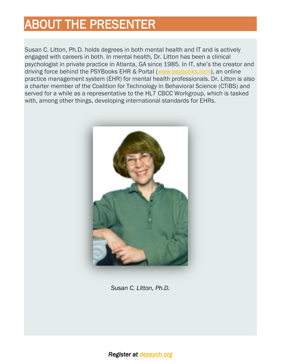# ABOUT THE PRESENTER

Susan C. Litton, Ph.D. holds degrees in both mental health and IT and is actively engaged with careers in both. In mental health, Dr. Litton has been a clinical psychologist in private practice in Atlanta, GA since 1985. In IT, she's the creator and driving force behind the PSYBooks EHR & Portal [\(www.psybooks.com\)](http://www.psybooks.com/), an online practice management system (EHR) for mental health professionals. Dr. Litton is also a charter member of the Coalition for Technology in Behavioral Science (CTiBS) and served for a while as a representative to the HL7 CBCC Workgroup, which is tasked with, among other things, developing international standards for EHRs.



*Susan C. Litton, Ph.D.*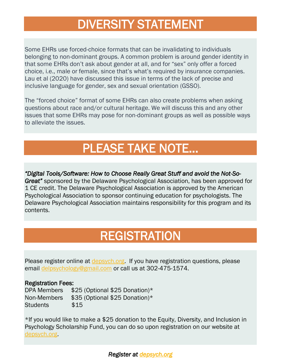### DIVERSITY STATEMENT

Some EHRs use forced-choice formats that can be invalidating to individuals belonging to non-dominant groups. A common problem is around gender identity in that some EHRs don't ask about gender at all, and for "sex" only offer a forced choice, i.e., male or female, since that's what's required by insurance companies. Lau et al (2020) have discussed this issue in terms of the lack of precise and inclusive language for gender, sex and sexual orientation (GSSO).

The "forced choice" format of some EHRs can also create problems when asking questions about race and/or cultural heritage. We will discuss this and any other issues that some EHRs may pose for non-dominant groups as well as possible ways to alleviate the issues.

#### PLEASE TAKE NOTE…

*"Digital Tools/Software: How to Choose Really Great Stuff and avoid the Not-So-Great"* sponsored by the Delaware Psychological Association, has been approved for 1 CE credit. The Delaware Psychological Association is approved by the American Psychological Association to sponsor continuing education for psychologists. The Delaware Psychological Association maintains responsibility for this program and its contents.

### **REGISTRATION**

Please register online at [depsych.org.](https://www.depsych.org/event-3996625) If you have registration questions, please email [delpsychology@gmail.com](mailto:delpsychology@gmail.com) or call us at 302-475-1574.

#### Registration Fees:

DPA Members \$25 (Optional \$25 Donation)\* Non-Members \$35 (Optional \$25 Donation)\* Students \$15

\*If you would like to make a \$25 donation to the Equity, Diversity, and Inclusion in Psychology Scholarship Fund, you can do so upon registration on our website at [depsych.org.](http://depsych.org/)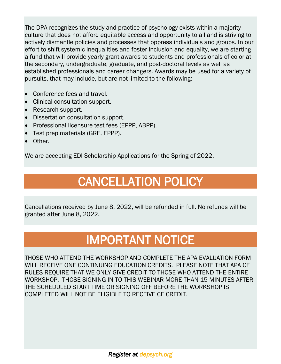The DPA recognizes the study and practice of psychology exists within a majority culture that does not afford equitable access and opportunity to all and is striving to actively dismantle policies and processes that oppress individuals and groups. In our effort to shift systemic inequalities and foster inclusion and equality, we are starting a fund that will provide yearly grant awards to students and professionals of color at the secondary, undergraduate, graduate, and post-doctoral levels as well as established professionals and career changers. Awards may be used for a variety of pursuits, that may include, but are not limited to the following:

- Conference fees and travel.
- Clinical consultation support.
- Research support.
- Dissertation consultation support.
- Professional licensure test fees (EPPP, ABPP).
- Test prep materials (GRE, EPPP).
- Other.

We are accepting EDI Scholarship Applications for the Spring of 2022.

# CANCELLATION POLICY

Cancellations received by June 8, 2022, will be refunded in full. No refunds will be granted after June 8, 2022.

### IMPORTANT NOTICE

THOSE WHO ATTEND THE WORKSHOP AND COMPLETE THE APA EVALUATION FORM WILL RECEIVE ONE CONTINUING EDUCATION CREDITS. PLEASE NOTE THAT APA CE RULES REQUIRE THAT WE ONLY GIVE CREDIT TO THOSE WHO ATTEND THE ENTIRE WORKSHOP. THOSE SIGNING IN TO THIS WEBINAR MORE THAN 15 MINUTES AFTER THE SCHEDULED START TIME OR SIGNING OFF BEFORE THE WORKSHOP IS COMPLETED WILL NOT BE ELIGIBLE TO RECEIVE CE CREDIT.